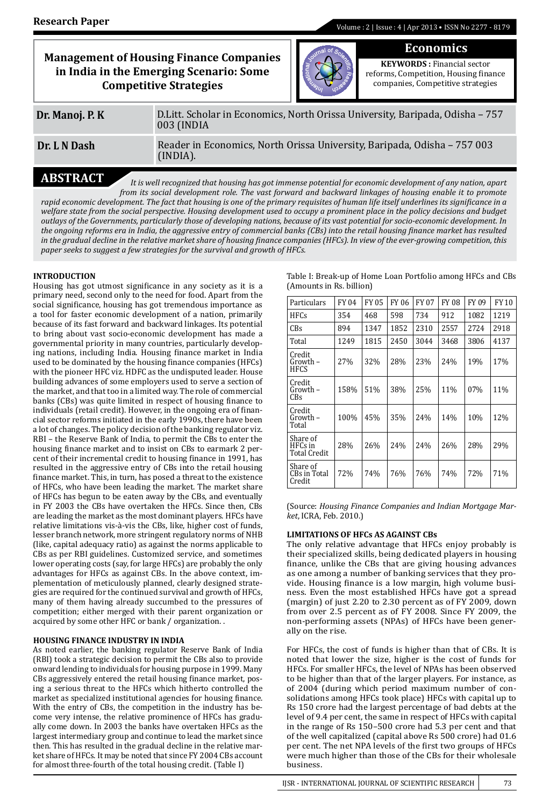**Economics**

|                 | <b>Management of Housing Finance Companies</b><br>in India in the Emerging Scenario: Some<br><b>Competitive Strategies</b> |  | <b>KEYWORDS</b> : Financial sector<br>reforms, Competition, Housing finance<br>companies, Competitive strategies |  |  |  |
|-----------------|----------------------------------------------------------------------------------------------------------------------------|--|------------------------------------------------------------------------------------------------------------------|--|--|--|
| Dr. Manoj. P. K | D. Litt. Scholar in Economics, North Orissa University, Baripada, Odisha - 757<br>003 (INDIA                               |  |                                                                                                                  |  |  |  |
| Dr. L N Dash    | Reader in Economics, North Orissa University, Baripada, Odisha - 757 003<br>(INDIA).                                       |  |                                                                                                                  |  |  |  |
| A RCTR A        |                                                                                                                            |  |                                                                                                                  |  |  |  |

**ABSTRACT** *It is well recognized that housing has got immense potential for economic development of any nation, apart from its social development role. The vast forward and backward linkages of housing enable it to promote rapid economic development. The fact that housing is one of the primary requisites of human life itself underlines its significance in a*  welfare state from the social perspective. Housing development used to occupy a prominent place in the policy decisions and budget *outlays of the Governments, particularly those of developing nations, because of its vast potential for socio-economic development. In the ongoing reforms era in India, the aggressive entry of commercial banks (CBs) into the retail housing finance market has resulted in the gradual decline in the relative market share of housing finance companies (HFCs). In view of the ever-growing competition, this paper seeks to suggest a few strategies for the survival and growth of HFCs.*

# **INTRODUCTION**

Housing has got utmost significance in any society as it is a primary need, second only to the need for food. Apart from the social significance, housing has got tremendous importance as a tool for faster economic development of a nation, primarily because of its fast forward and backward linkages. Its potential to bring about vast socio-economic development has made a governmental priority in many countries, particularly developing nations, including India. Housing finance market in India used to be dominated by the housing finance companies (HFCs) with the pioneer HFC viz. HDFC as the undisputed leader. House building advances of some employers used to serve a section of the market, and that too in a limited way. The role of commercial banks (CBs) was quite limited in respect of housing finance to individuals (retail credit). However, in the ongoing era of financial sector reforms initiated in the early 1990s, there have been a lot of changes. The policy decision of the banking regulator viz. RBI – the Reserve Bank of India, to permit the CBs to enter the housing finance market and to insist on CBs to earmark 2 percent of their incremental credit to housing finance in 1991, has resulted in the aggressive entry of CBs into the retail housing finance market. This, in turn, has posed a threat to the existence of HFCs, who have been leading the market. The market share of HFCs has begun to be eaten away by the CBs, and eventually in FY 2003 the CBs have overtaken the HFCs. Since then, CBs are leading the market as the most dominant players. HFCs have relative limitations vis-à-vis the CBs, like, higher cost of funds, lesser branch network, more stringent regulatory norms of NHB (like, capital adequacy ratio) as against the norms applicable to CBs as per RBI guidelines. Customized service, and sometimes lower operating costs (say, for large HFCs) are probably the only advantages for HFCs as against CBs. In the above context, implementation of meticulously planned, clearly designed strategies are required for the continued survival and growth of HFCs, many of them having already succumbed to the pressures of competition; either merged with their parent organization or acquired by some other HFC or bank / organization. .

### **HOUSING FINANCE INDUSTRY IN INDIA**

As noted earlier, the banking regulator Reserve Bank of India (RBI) took a strategic decision to permit the CBs also to provide onward lending to individuals for housing purpose in 1999. Many CBs aggressively entered the retail housing finance market, posing a serious threat to the HFCs which hitherto controlled the market as specialized institutional agencies for housing finance. With the entry of CBs, the competition in the industry has become very intense, the relative prominence of HFCs has gradually come down. In 2003 the banks have overtaken HFCs as the largest intermediary group and continue to lead the market since then. This has resulted in the gradual decline in the relative market share of HFCs. It may be noted that since FY 2004 CBs account for almost three-fourth of the total housing credit. (Table I)

| Table I: Break-up of Home Loan Portfolio among HFCs and CBs |  |
|-------------------------------------------------------------|--|
| (Amounts in Rs. billion)                                    |  |

| Particulars                         | FY 04 | <b>FY 05</b> | FY 06 | <b>FY 07</b> | <b>FY 08</b> | FY 09 | <b>FY10</b> |
|-------------------------------------|-------|--------------|-------|--------------|--------------|-------|-------------|
| HFCs                                | 354   | 468          | 598   | 734          | 912          | 1082  | 1219        |
| CBs                                 | 894   | 1347         | 1852  | 2310         | 2557         | 2724  | 2918        |
| Total                               | 1249  | 1815         | 2450  | 3044         | 3468         | 3806  | 4137        |
| Credit<br>Growth –<br>HFCS          | 27%   | 32%          | 28%   | 23%          | 24%          | 19%   | 17%         |
| Credit<br>Growth –<br>CBs           | 158%  | 51%          | 38%   | 25%          | 11%          | 07%   | 11%         |
| Credit<br>Growth –<br>Total         | 100%  | 45%          | 35%   | 24%          | 14%          | 10%   | 12%         |
| Share of<br>HFCs in<br>Total Credit | 28%   | 26%          | 24%   | 24%          | 26%          | 28%   | 29%         |
| Share of<br>CBs in Total<br>Credit  | 72%   | 74%          | 76%   | 76%          | 74%          | 72%   | 71%         |

(Source: *Housing Finance Companies and Indian Mortgage Market*, ICRA, Feb. 2010.)

# **LIMITATIONS OF HFCs AS AGAINST CBs**

The only relative advantage that HFCs enjoy probably is their specialized skills, being dedicated players in housing finance, unlike the CBs that are giving housing advances as one among a number of banking services that they provide. Housing finance is a low margin, high volume business. Even the most established HFCs have got a spread (margin) of just 2.20 to 2.30 percent as of FY 2009, down from over 2.5 percent as of FY 2008. Since FY 2009, the non-performing assets (NPAs) of HFCs have been generally on the rise.

For HFCs, the cost of funds is higher than that of CBs. It is noted that lower the size, higher is the cost of funds for HFCs. For smaller HFCs, the level of NPAs has been observed to be higher than that of the larger players. For instance, as of 2004 (during which period maximum number of consolidations among HFCs took place) HFCs with capital up to Rs 150 crore had the largest percentage of bad debts at the level of 9.4 per cent, the same in respect of HFCs with capital in the range of Rs 150–500 crore had 5.3 per cent and that of the well capitalized (capital above Rs 500 crore) had 01.6 per cent. The net NPA levels of the first two groups of HFCs were much higher than those of the CBs for their wholesale business.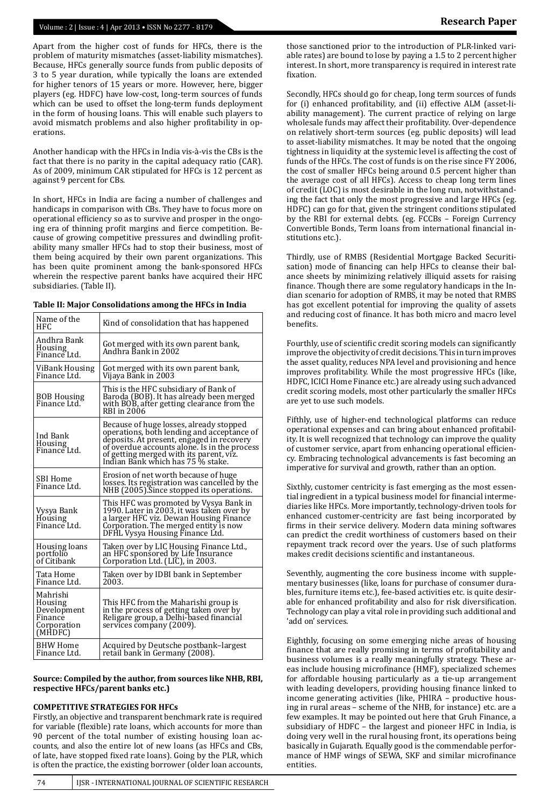# Volume : 2 | Issue : 4 | Apr 2013 • ISSN No 2277 - 8179 **Research Paper**

Apart from the higher cost of funds for HFCs, there is the problem of maturity mismatches (asset-liability mismatches). Because, HFCs generally source funds from public deposits of 3 to 5 year duration, while typically the loans are extended for higher tenors of 15 years or more. However, here, bigger players (eg. HDFC) have low-cost, long-term sources of funds which can be used to offset the long-term funds deployment in the form of housing loans. This will enable such players to avoid mismatch problems and also higher profitability in operations.

Another handicap with the HFCs in India vis-à-vis the CBs is the fact that there is no parity in the capital adequacy ratio (CAR). As of 2009, minimum CAR stipulated for HFCs is 12 percent as against 9 percent for CBs.

In short, HFCs in India are facing a number of challenges and handicaps in comparison with CBs. They have to focus more on operational efficiency so as to survive and prosper in the ongoing era of thinning profit margins and fierce competition. Because of growing competitive pressures and dwindling profitability many smaller HFCs had to stop their business, most of them being acquired by their own parent organizations. This has been quite prominent among the bank-sponsored HFCs wherein the respective parent banks have acquired their HFC subsidiaries. (Table II).

| Name of the<br>HFC.                                                     | Kind of consolidation that has happened                                                                                                                                                                                                                            |
|-------------------------------------------------------------------------|--------------------------------------------------------------------------------------------------------------------------------------------------------------------------------------------------------------------------------------------------------------------|
| Andhra Bank<br>Housing<br>Finance Ltd.                                  | Got merged with its own parent bank,<br>Andhra Bank in 2002                                                                                                                                                                                                        |
| ViBank Housing<br>Finance Ltd.                                          | Got merged with its own parent bank,<br>Vijaya Bānk in 2003                                                                                                                                                                                                        |
| BOB Housing<br>Finance Ltd.                                             | This is the HFC subsidiary of Bank of<br>Baroda (BOB). It has already been merged<br>with BOB, after getting clearance from the<br>RBI in 2006                                                                                                                     |
| Ind Bank<br>Housing<br>Finance Ltd.                                     | Because of huge losses, already stopped<br>operations, both lending and acceptance of<br>deposits. At present, engaged in recovery<br>of overdue accounts alone. Is in the process<br>of getting merged with its parent, viz.<br>Indian Bank which has 75 % stake. |
| SBI Home<br>Finance Ltd.                                                | Erosion of net worth because of huge<br>losses. Its registration was cancelled by the<br>NHB (2005). Since stopped its operations.                                                                                                                                 |
| Vysya Bank<br>Housing<br>Finance Ltd.                                   | This HFC was promoted by Vysya Bank in<br>1990. Later in 2003, it was taken over by<br>a larger HFC viz. Dewan Housing Finance<br>Corporation. The merged entity is now<br>DFHL Vysya Housing Finance Ltd.                                                         |
| Housing loans<br>portfolio<br>of Citibank                               | Taken over by LIC Housing Finance Ltd.,<br>an HFC sponsored by Life Insurance<br>Corporation Ltd. (LIC), in 2003.                                                                                                                                                  |
| Tata Home<br>Finance Ltd.                                               | Taken over by IDBI bank in September<br>2003.                                                                                                                                                                                                                      |
| Mahrishi<br>Housing<br>Development<br>Finance<br>Corporation<br>(MHDFC) | This HFC from the Maharishi group is<br>in the process of getting taken over by<br>Religare group, a Delhi-based financial<br>services company (2009).                                                                                                             |
| BHW Home<br>Finance Ltd.                                                | Acquired by Deutsche postbank-largest<br>retail bank in Germany (2008).                                                                                                                                                                                            |

**Source: Compiled by the author, from sources like NHB, RBI, respective HFCs/parent banks etc.)**

#### **COMPETITIVE STRATEGIES FOR HFCs**

Firstly, an objective and transparent benchmark rate is required for variable (flexible) rate loans, which accounts for more than 90 percent of the total number of existing housing loan accounts, and also the entire lot of new loans (as HFCs and CBs, of late, have stopped fixed rate loans). Going by the PLR, which is often the practice, the existing borrower (older loan accounts,

those sanctioned prior to the introduction of PLR-linked variable rates) are bound to lose by paying a 1.5 to 2 percent higher interest. In short, more transparency is required in interest rate fixation.

Secondly, HFCs should go for cheap, long term sources of funds for (i) enhanced profitability, and (ii) effective ALM (asset-liability management). The current practice of relying on large wholesale funds may affect their profitability. Over-dependence on relatively short-term sources (eg. public deposits) will lead to asset-liability mismatches. It may be noted that the ongoing tightness in liquidity at the systemic level is affecting the cost of funds of the HFCs. The cost of funds is on the rise since FY 2006, the cost of smaller HFCs being around 0.5 percent higher than the average cost of all HFCs). Access to cheap long term lines of credit (LOC) is most desirable in the long run, notwithstanding the fact that only the most progressive and large HFCs (eg. HDFC) can go for that, given the stringent conditions stipulated by the RBI for external debts. (eg. FCCBs – Foreign Currency Convertible Bonds, Term loans from international financial institutions etc.).

Thirdly, use of RMBS (Residential Mortgage Backed Securitisation) mode of financing can help HFCs to cleanse their balance sheets by minimizing relatively illiquid assets for raising finance. Though there are some regulatory handicaps in the Indian scenario for adoption of RMBS, it may be noted that RMBS has got excellent potential for improving the quality of assets and reducing cost of finance. It has both micro and macro level benefits.

Fourthly, use of scientific credit scoring models can significantly improve the objectivity of credit decisions. This in turn improves the asset quality, reduces NPA level and provisioning and hence improves profitability. While the most progressive HFCs (like, HDFC, ICICI Home Finance etc.) are already using such advanced credit scoring models, most other particularly the smaller HFCs are yet to use such models.

Fifthly, use of higher-end technological platforms can reduce operational expenses and can bring about enhanced profitability. It is well recognized that technology can improve the quality of customer service, apart from enhancing operational efficiency. Embracing technological advancements is fast becoming an imperative for survival and growth, rather than an option.

Sixthly, customer centricity is fast emerging as the most essential ingredient in a typical business model for financial intermediaries like HFCs. More importantly, technology-driven tools for enhanced customer-centricity are fast being incorporated by firms in their service delivery. Modern data mining softwares can predict the credit worthiness of customers based on their repayment track record over the years. Use of such platforms makes credit decisions scientific and instantaneous.

Seventhly, augmenting the core business income with supplementary businesses (like, loans for purchase of consumer durables, furniture items etc.), fee-based activities etc. is quite desirable for enhanced profitability and also for risk diversification. Technology can play a vital role in providing such additional and 'add on' services.

Eighthly, focusing on some emerging niche areas of housing finance that are really promising in terms of profitability and business volumes is a really meaningfully strategy. These areas include housing microfinance (HMF), specialized schemes for affordable housing particularly as a tie-up arrangement with leading developers, providing housing finance linked to income generating activities (like, PHIRA – productive housing in rural areas – scheme of the NHB, for instance) etc. are a few examples. It may be pointed out here that Gruh Finance, a subsidiary of HDFC – the largest and pioneer HFC in India, is doing very well in the rural housing front, its operations being basically in Gujarath. Equally good is the commendable performance of HMF wings of SEWA, SKF and similar microfinance entities.